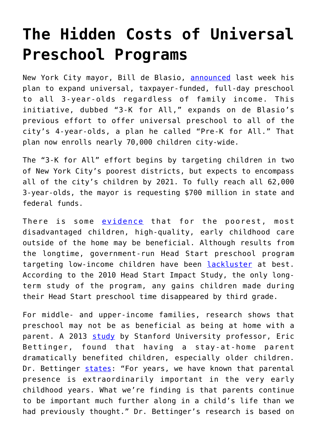## **[The Hidden Costs of Universal](https://intellectualtakeout.org/2017/05/the-hidden-costs-of-universal-preschool-programs/) [Preschool Programs](https://intellectualtakeout.org/2017/05/the-hidden-costs-of-universal-preschool-programs/)**

New York City mayor, Bill de Blasio, [announced](https://www.nytimes.com/2017/04/24/nyregion/de-blasio-pre-k-expansion.html) last week his plan to expand universal, taxpayer-funded, full-day preschool to all 3-year-olds regardless of family income. This initiative, dubbed "3-K for All," expands on de Blasio's previous effort to offer universal preschool to all of the city's 4-year-olds, a plan he called "Pre-K for All." That plan now enrolls nearly 70,000 children city-wide.

The "3-K for All" effort begins by targeting children in two of New York City's poorest districts, but expects to encompass all of the city's children by 2021. To fully reach all 62,000 3-year-olds, the mayor is requesting \$700 million in state and federal funds.

There is some [evidence](https://heckmanequation.org/resource/research-summary-lifecycle-benefits-influential-early-childhood-program/) that for the poorest, most disadvantaged children, high-quality, early childhood care outside of the home may be beneficial. Although results from the longtime, government-run Head Start preschool program targeting low-income children have been [lackluster](https://www.theatlantic.com/education/archive/2016/08/is-head-start-a-failure/494942/) at best. According to the 2010 Head Start Impact Study, the only longterm study of the program, any gains children made during their Head Start preschool time disappeared by third grade.

For middle- and upper-income families, research shows that preschool may not be as beneficial as being at home with a parent. A 2013 [study](http://www.ssb.no/forskning/discussion-papers/_attachment/113165?_ts=13ea1e1e480) by Stanford University professor, Eric Bettinger, found that having a stay-at-home parent dramatically benefited children, especially older children. Dr. Bettinger [states](https://www.gsb.stanford.edu/insights/eric-bettinger-why-stay-home-parents-are-good-older-children): "For years, we have known that parental presence is extraordinarily important in the very early childhood years. What we're finding is that parents continue to be important much further along in a child's life than we had previously thought." Dr. Bettinger's research is based on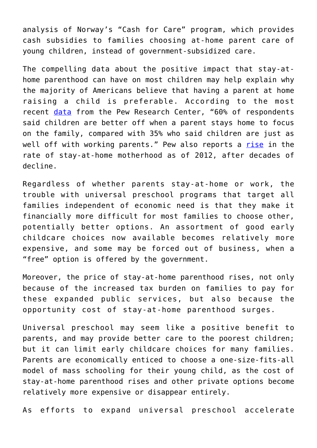analysis of Norway's "Cash for Care" program, which provides cash subsidies to families choosing at-home parent care of young children, instead of government-subsidized care.

The compelling data about the positive impact that stay-athome parenthood can have on most children may help explain why the majority of Americans believe that having a parent at home raising a child is preferable. According to the most recent [data](http://www.pewsocialtrends.org/2014/04/08/after-decades-of-decline-a-rise-in-stay-at-home-mothers/) from the Pew Research Center, "60% of respondents said children are better off when a parent stays home to focus on the family, compared with 35% who said children are just as well off with working parents." Pew also reports a [rise](http://www.pewsocialtrends.org/2014/04/08/after-decades-of-decline-a-rise-in-stay-at-home-mothers/) in the rate of stay-at-home motherhood as of 2012, after decades of decline.

Regardless of whether parents stay-at-home or work, the trouble with universal preschool programs that target all families independent of economic need is that they make it financially more difficult for most families to choose other, potentially better options. An assortment of good early childcare choices now available becomes relatively more expensive, and some may be forced out of business, when a "free" option is offered by the government.

Moreover, the price of stay-at-home parenthood rises, not only because of the increased tax burden on families to pay for these expanded public services, but also because the opportunity cost of stay-at-home parenthood surges.

Universal preschool may seem like a positive benefit to parents, and may provide better care to the poorest children; but it can limit early childcare choices for many families. Parents are economically enticed to choose a one-size-fits-all model of mass schooling for their young child, as the cost of stay-at-home parenthood rises and other private options become relatively more expensive or disappear entirely.

As efforts to expand universal preschool accelerate